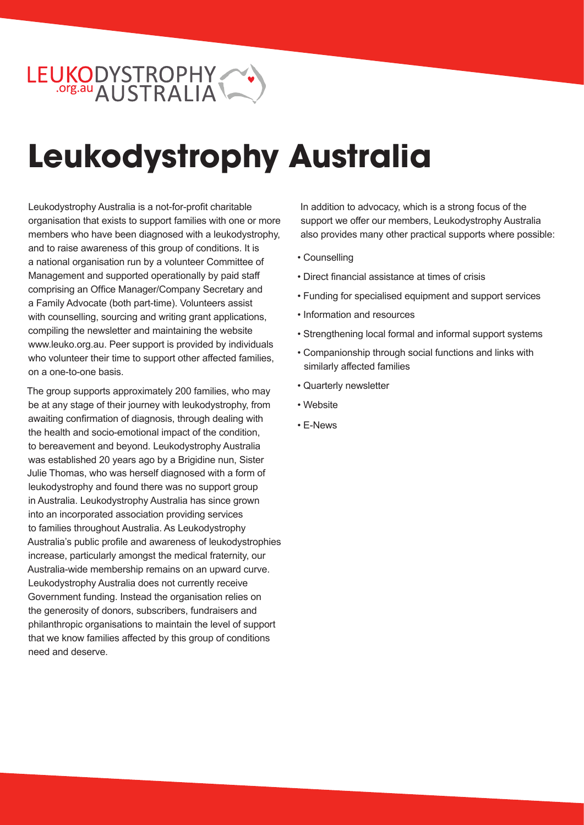# LEUKODYSTROPHY

## **Leukodystrophy Australia**

Leukodystrophy Australia is a not-for-profit charitable organisation that exists to support families with one or more members who have been diagnosed with a leukodystrophy, and to raise awareness of this group of conditions. It is a national organisation run by a volunteer Committee of Management and supported operationally by paid staff comprising an Office Manager/Company Secretary and a Family Advocate (both part-time). Volunteers assist with counselling, sourcing and writing grant applications, compiling the newsletter and maintaining the website www.leuko.org.au. Peer support is provided by individuals who volunteer their time to support other affected families, on a one-to-one basis.

The group supports approximately 200 families, who may be at any stage of their journey with leukodystrophy, from awaiting confirmation of diagnosis, through dealing with the health and socio-emotional impact of the condition, to bereavement and beyond. Leukodystrophy Australia was established 20 years ago by a Brigidine nun, Sister Julie Thomas, who was herself diagnosed with a form of leukodystrophy and found there was no support group in Australia. Leukodystrophy Australia has since grown into an incorporated association providing services to families throughout Australia. As Leukodystrophy Australia's public profile and awareness of leukodystrophies increase, particularly amongst the medical fraternity, our Australia-wide membership remains on an upward curve. Leukodystrophy Australia does not currently receive Government funding. Instead the organisation relies on the generosity of donors, subscribers, fundraisers and philanthropic organisations to maintain the level of support that we know families affected by this group of conditions need and deserve.

In addition to advocacy, which is a strong focus of the support we offer our members, Leukodystrophy Australia also provides many other practical supports where possible:

- Counselling
- Direct financial assistance at times of crisis
- Funding for specialised equipment and support services
- Information and resources
- Strengthening local formal and informal support systems
- Companionship through social functions and links with similarly affected families
- Quarterly newsletter
- Website
- E-News